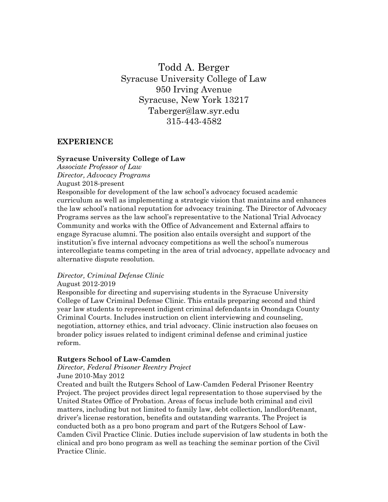Todd A. Berger Syracuse University College of Law 950 Irving Avenue Syracuse, New York 13217 Taberger@law.syr.edu 315-443-4582

## **EXPERIENCE**

#### **Syracuse University College of Law**

*Associate Professor of Law Director, Advocacy Programs*  August 2018-present

Responsible for development of the law school's advocacy focused academic curriculum as well as implementing a strategic vision that maintains and enhances the law school's national reputation for advocacy training. The Director of Advocacy Programs serves as the law school's representative to the National Trial Advocacy Community and works with the Office of Advancement and External affairs to engage Syracuse alumni. The position also entails oversight and support of the institution's five internal advocacy competitions as well the school's numerous intercollegiate teams competing in the area of trial advocacy, appellate advocacy and alternative dispute resolution.

*Director, Criminal Defense Clinic* 

#### August 2012-2019

Responsible for directing and supervising students in the Syracuse University College of Law Criminal Defense Clinic. This entails preparing second and third year law students to represent indigent criminal defendants in Onondaga County Criminal Courts. Includes instruction on client interviewing and counseling, negotiation, attorney ethics, and trial advocacy. Clinic instruction also focuses on broader policy issues related to indigent criminal defense and criminal justice reform.

#### **Rutgers School of Law-Camden**

# *Director, Federal Prisoner Reentry Project*

June 2010-May 2012

Created and built the Rutgers School of Law-Camden Federal Prisoner Reentry Project. The project provides direct legal representation to those supervised by the United States Office of Probation. Areas of focus include both criminal and civil matters, including but not limited to family law, debt collection, landlord/tenant, driver's license restoration, benefits and outstanding warrants. The Project is conducted both as a pro bono program and part of the Rutgers School of Law-Camden Civil Practice Clinic. Duties include supervision of law students in both the clinical and pro bono program as well as teaching the seminar portion of the Civil Practice Clinic.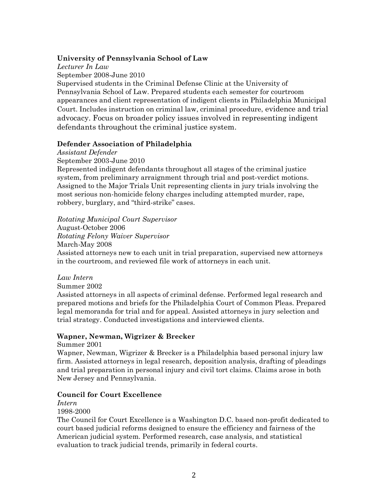## **University of Pennsylvania School of Law**

*Lecturer In Law* September 2008-June 2010 Supervised students in the Criminal Defense Clinic at the University of Pennsylvania School of Law. Prepared students each semester for courtroom appearances and client representation of indigent clients in Philadelphia Municipal Court. Includes instruction on criminal law, criminal procedure, evidence and trial advocacy. Focus on broader policy issues involved in representing indigent defendants throughout the criminal justice system.

## **Defender Association of Philadelphia**

*Assistant Defender* 

September 2003-June 2010

Represented indigent defendants throughout all stages of the criminal justice system, from preliminary arraignment through trial and post-verdict motions. Assigned to the Major Trials Unit representing clients in jury trials involving the most serious non-homicide felony charges including attempted murder, rape, robbery, burglary, and "third-strike" cases.

## *Rotating Municipal Court Supervisor*

August-October 2006 *Rotating Felony Waiver Supervisor* March-May 2008 Assisted attorneys new to each unit in trial preparation, supervised new attorneys in the courtroom, and reviewed file work of attorneys in each unit.

## *Law Intern*

Summer 2002

Assisted attorneys in all aspects of criminal defense. Performed legal research and prepared motions and briefs for the Philadelphia Court of Common Pleas. Prepared legal memoranda for trial and for appeal. Assisted attorneys in jury selection and trial strategy. Conducted investigations and interviewed clients.

## **Wapner, Newman, Wigrizer & Brecker**

Summer 2001

Wapner, Newman, Wigrizer & Brecker is a Philadelphia based personal injury law firm. Assisted attorneys in legal research, deposition analysis, drafting of pleadings and trial preparation in personal injury and civil tort claims. Claims arose in both New Jersey and Pennsylvania.

## **Council for Court Excellence**

*Intern* 

1998-2000

The Council for Court Excellence is a Washington D.C. based non-profit dedicated to court based judicial reforms designed to ensure the efficiency and fairness of the American judicial system. Performed research, case analysis, and statistical evaluation to track judicial trends, primarily in federal courts.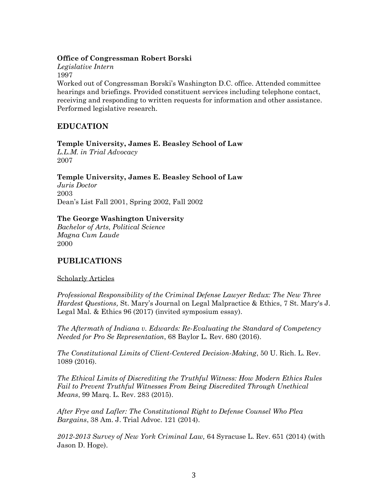## **Office of Congressman Robert Borski**

*Legislative Intern*  1997

Worked out of Congressman Borski's Washington D.C. office. Attended committee hearings and briefings. Provided constituent services including telephone contact, receiving and responding to written requests for information and other assistance. Performed legislative research.

# **EDUCATION**

## **Temple University, James E. Beasley School of Law**

*L.L.M. in Trial Advocacy*  2007

## **Temple University, James E. Beasley School of Law**

*Juris Doctor*  2003 Dean's List Fall 2001, Spring 2002, Fall 2002

## **The George Washington University**

*Bachelor of Arts, Political Science Magna Cum Laude*  2000

# **PUBLICATIONS**

## Scholarly Articles

*Professional Responsibility of the Criminal Defense Lawyer Redux: The New Three Hardest Questions,* St. Mary's Journal on Legal Malpractice & Ethics, 7 St. Mary's J. Legal Mal. & Ethics 96 (2017) (invited symposium essay).

*The Aftermath of Indiana v. Edwards: Re-Evaluating the Standard of Competency Needed for Pro Se Representation*, 68 Baylor L. Rev. 680 (2016).

*The Constitutional Limits of Client-Centered Decision-Making*, 50 U. Rich. L. Rev. 1089 (2016).

*The Ethical Limits of Discrediting the Truthful Witness: How Modern Ethics Rules Fail to Prevent Truthful Witnesses From Being Discredited Through Unethical Means*, 99 Marq. L. Rev. 283 (2015).

*After Frye and Lafler: The Constitutional Right to Defense Counsel Who Plea Bargains*, 38 Am. J. Trial Advoc. 121 (2014).

*2012-2013 Survey of New York Criminal Law,* 64 Syracuse L. Rev. 651 (2014) (with Jason D. Hoge).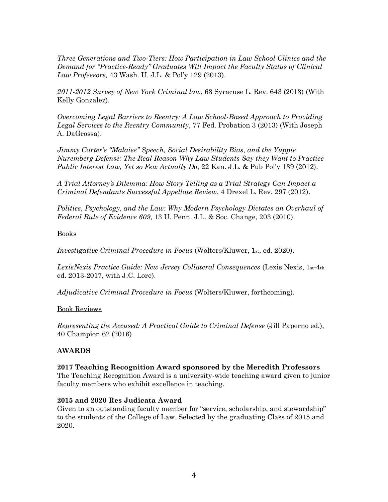*Three Generations and Two-Tiers: How Participation in Law School Clinics and the Demand for "Practice-Ready" Graduates Will Impact the Faculty Status of Clinical Law Professors,* 43 Wash. U. J.L. & Pol'y 129 (2013).

*2011-2012 Survey of New York Criminal law*, 63 Syracuse L. Rev. 643 (2013) (With Kelly Gonzalez).

*Overcoming Legal Barriers to Reentry: A Law School-Based Approach to Providing Legal Services to the Reentry Community*, 77 Fed. Probation 3 (2013) (With Joseph A. DaGrossa).

*Jimmy Carter's "Malaise" Speech, Social Desirability Bias, and the Yuppie Nuremberg Defense: The Real Reason Why Law Students Say they Want to Practice Public Interest Law, Yet so Few Actually Do*, 22 Kan. J.L. & Pub Pol'y 139 (2012).

*A Trial Attorney's Dilemma: How Story Telling as a Trial Strategy Can Impact a Criminal Defendants Successful Appellate Review*, 4 Drexel L. Rev. 297 (2012).

*Politics, Psychology, and the Law: Why Modern Psychology Dictates an Overhaul of Federal Rule of Evidence 609,* 13 U. Penn. J.L. & Soc. Change, 203 (2010).

## Books

*Investigative Criminal Procedure in Focus (Wolters/Kluwer, 1st, ed. 2020).* 

*LexisNexis Practice Guide: New Jersey Collateral Consequences* (Lexis Nexis, 1st-4th ed. 2013-2017, with J.C. Lore).

*Adjudicative Criminal Procedure in Focus* (Wolters/Kluwer, forthcoming).

#### Book Reviews

*Representing the Accused: A Practical Guide to Criminal Defense (Jill Paperno ed.),* 40 Champion 62 (2016)

## **AWARDS**

#### **2017 Teaching Recognition Award sponsored by the Meredith Professors**

The Teaching Recognition Award is a university-wide teaching award given to junior faculty members who exhibit excellence in teaching.

#### **2015 and 2020 Res Judicata Award**

Given to an outstanding faculty member for "service, scholarship, and stewardship" to the students of the College of Law. Selected by the graduating Class of 2015 and 2020.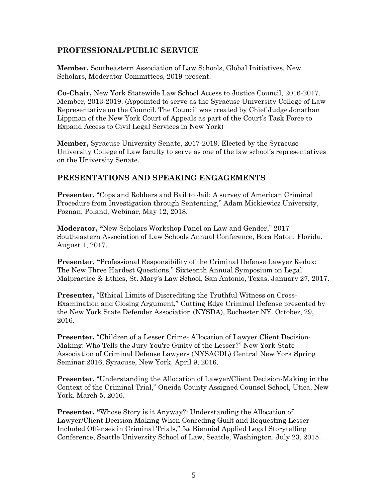# **PROFESSIONAL/PUBLIC SERVICE**

**Member,** Southeastern Association of Law Schools, Global Initiatives, New Scholars, Moderator Committees, 2019-present.

**Co-Chair,** New York Statewide Law School Access to Justice Council, 2016-2017. Member, 2013-2019. (Appointed to serve as the Syracuse University College of Law Representative on the Council. The Council was created by Chief Judge Jonathan Lippman of the New York Court of Appeals as part of the Court's Task Force to Expand Access to Civil Legal Services in New York)

**Member,** Syracuse University Senate, 2017-2019. Elected by the Syracuse University College of Law faculty to serve as one of the law school's representatives on the University Senate.

# **PRESENTATIONS AND SPEAKING ENGAGEMENTS**

**Presenter,** "Cops and Robbers and Bail to Jail: A survey of American Criminal Procedure from Investigation through Sentencing," Adam Mickiewicz University, Poznan, Poland, Webinar, May 12, 2018.

**Moderator, "**New Scholars Workshop Panel on Law and Gender," 2017 Southeastern Association of Law Schools Annual Conference, Boca Raton, Florida. August 1, 2017.

**Presenter, "**Professional Responsibility of the Criminal Defense Lawyer Redux: The New Three Hardest Questions," Sixteenth Annual Symposium on Legal Malpractice & Ethics, St. Mary's Law School, San Antonio, Texas. January 27, 2017.

**Presenter,** "Ethical Limits of Discrediting the Truthful Witness on Cross-Examination and Closing Argument," Cutting Edge Criminal Defense presented by the New York State Defender Association (NYSDA), Rochester NY. October, 29, 2016.

**Presenter, "Children of a Lesser Crime- Allocation of Lawyer Client Decision-**Making: Who Tells the Jury You're Guilty of the Lesser?" New York State Association of Criminal Defense Lawyers (NYSACDL) Central New York Spring Seminar 2016, Syracuse, New York. April 9, 2016.

**Presenter,** "Understanding the Allocation of Lawyer/Client Decision-Making in the Context of the Criminal Trial," Oneida County Assigned Counsel School, Utica, New York. March 5, 2016.

**Presenter, "Whose Story is it Anyway?: Understanding the Allocation of** Lawyer/Client Decision Making When Conceding Guilt and Requesting Lesser-Included Offenses in Criminal Trials," 5th Biennial Applied Legal Storytelling Conference, Seattle University School of Law, Seattle, Washington. July 23, 2015.